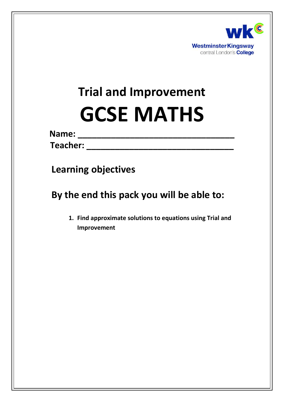

# **Trial and Improvement GCSE MATHS**

**Name: \_\_\_\_\_\_\_\_\_\_\_\_\_\_\_\_\_\_\_\_\_\_\_\_\_\_\_\_\_\_\_\_\_**

**Teacher: Teacher: Teacher: Teacher: Teacher: Teacher: Teacher: Teacher: Teacher: Teacher: Teacher: Teacher: Teacher: Teacher: Teacher: Teacher: Teacher: Teacher:** 

**Learning objectives**

**By the end this pack you will be able to:**

**1. Find approximate solutions to equations using Trial and Improvement**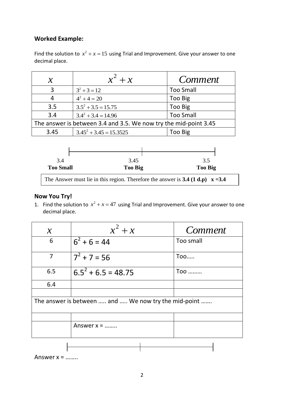### **Worked Example:**

Find the solution to  $x^2 + x = 15$  using Trial and Improvement. Give your answer to one decimal place.

| $\boldsymbol{\mathcal{X}}$                                       | $x^2 + x$                 | <i>Comment</i>   |
|------------------------------------------------------------------|---------------------------|------------------|
| з                                                                | $3^2 + 3 = 12$            | <b>Too Small</b> |
|                                                                  | $4^2 + 4 = 20$            | Too Big          |
| 3.5                                                              | $3.5^2 + 3.5 = 15.75$     | Too Big          |
| 3.4                                                              | $3.4^2 + 3.4 = 14.96$     | <b>Too Small</b> |
| The answer is between 3.4 and 3.5. We now try the mid-point 3.45 |                           |                  |
| 3.45                                                             | $3.45^2 + 3.45 = 15.3525$ | Too Big          |



#### **Now You Try!**

1. Find the solution to  $x^2 + x = 47$  using Trial and Improvement. Give your answer to one decimal place.

| $\mathcal{X}$                                        | $x^2 + x$             | <i>Comment</i> |
|------------------------------------------------------|-----------------------|----------------|
| 6                                                    | $6^2 + 6 = 44$        | Too small      |
| $\overline{7}$                                       | $7^2$ + 7 = 56        | Too            |
| 6.5                                                  | $6.5^2 + 6.5 = 48.75$ | Too            |
| 6.4                                                  |                       |                |
|                                                      |                       |                |
| The answer is between  and  We now try the mid-point |                       |                |
|                                                      |                       |                |
|                                                      | Answer $x =$          |                |
|                                                      |                       |                |

Answer  $x =$  .......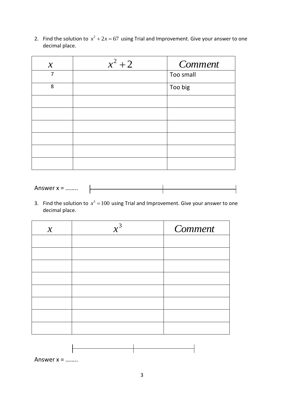2. Find the solution to  $x^2 + 2x = 67$  using Trial and Improvement. Give your answer to one decimal place.

| $\mathcal{X}$  | $x^2 + 2$ | Comment   |
|----------------|-----------|-----------|
| $\overline{7}$ |           | Too small |
| 8              |           | Too big   |
|                |           |           |
|                |           |           |
|                |           |           |
|                |           |           |
|                |           |           |
|                |           |           |

| Answer $x =$ |  |
|--------------|--|
| .            |  |

3. Find the solution to  $x^3 = 100$  using Trial and Improvement. Give your answer to one decimal place.

| $\mathcal{X}$ | $x^3$ | Comment |
|---------------|-------|---------|
|               |       |         |
|               |       |         |
|               |       |         |
|               |       |         |
|               |       |         |
|               |       |         |
|               |       |         |
|               |       |         |
|               |       |         |



Answer x = ……..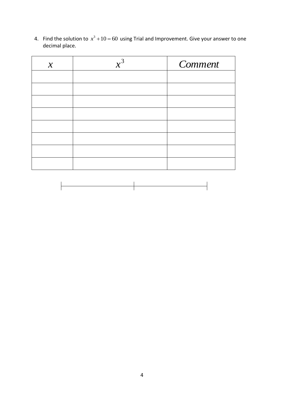4. Find the solution to  $x^3 + 10 = 60$  using Trial and Improvement. Give your answer to one decimal place.

| $\mathcal{X}$ | $x^3$ | Comment |
|---------------|-------|---------|
|               |       |         |
|               |       |         |
|               |       |         |
|               |       |         |
|               |       |         |
|               |       |         |
|               |       |         |
|               |       |         |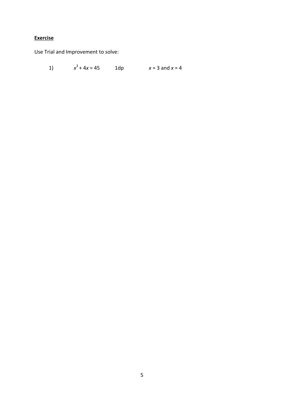# **Exercise**

Use Trial and Improvement to solve:

 $x^3 + 4x = 45$  1dp  $x = 3$  and  $x = 4$  $1)$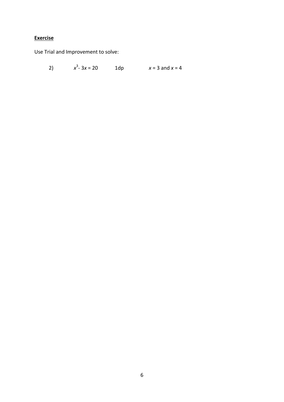## **Exercise**

Use Trial and Improvement to solve:

2) 
$$
x^3 - 3x = 20
$$
 1dp  $x = 3$  and  $x = 4$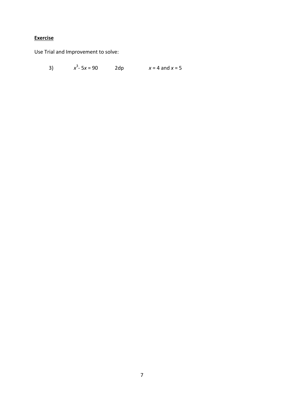# **Exercise**

Use Trial and Improvement to solve:

3) *x*  $3 - 5x = 90$  2dp  $x = 4$  and  $x = 5$